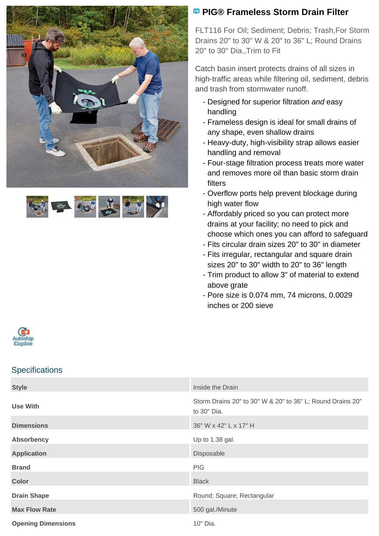



## **<sup><b>B</sup>** PIG® Frameless Storm Drain Filter</sup>

FLT116 For Oil; Sediment; Debris; Trash,For Storm Drains 20" to 30" W & 20" to 36" L; Round Drains 20" to 30" Dia.,Trim to Fit

Catch basin insert protects drains of all sizes in high-traffic areas while filtering oil, sediment, debris and trash from stormwater runoff.

- Designed for superior filtration and easy handling
- Frameless design is ideal for small drains of any shape, even shallow drains
- Heavy-duty, high-visibility strap allows easier handling and removal
- Four-stage filtration process treats more water and removes more oil than basic storm drain filters
- Overflow ports help prevent blockage during high water flow
- Affordably priced so you can protect more drains at your facility; no need to pick and choose which ones you can afford to safeguard
- Fits circular drain sizes 20" to 30" in diameter
- Fits irregular, rectangular and square drain sizes 20" to 30" width to 20" to 36" length
- Trim product to allow 3" of material to extend above grate
- Pore size is 0.074 mm, 74 microns, 0.0029 inches or 200 sieve



## **Specifications**

| <b>Style</b>              | Inside the Drain                                                          |
|---------------------------|---------------------------------------------------------------------------|
| Use With                  | Storm Drains 20" to 30" W & 20" to 36" L; Round Drains 20"<br>to 30" Dia. |
| <b>Dimensions</b>         | 36" W x 42" L x 17" H                                                     |
| <b>Absorbency</b>         | Up to 1.38 gal.                                                           |
| <b>Application</b>        | Disposable                                                                |
| <b>Brand</b>              | <b>PIG</b>                                                                |
| <b>Color</b>              | <b>Black</b>                                                              |
| <b>Drain Shape</b>        | Round; Square; Rectangular                                                |
| <b>Max Flow Rate</b>      | 500 gal./Minute                                                           |
| <b>Opening Dimensions</b> | 10" Dia.                                                                  |